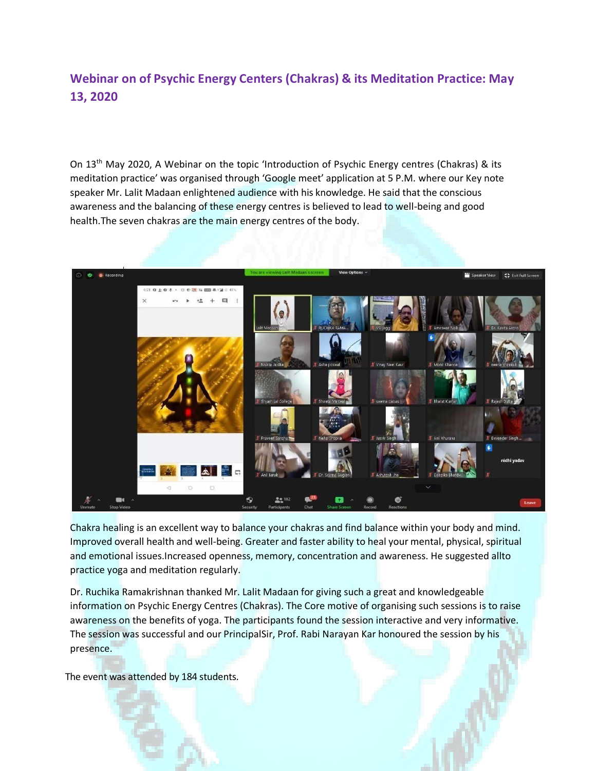## **Webinar on of Psychic Energy Centers (Chakras) & its Meditation Practice: May 13, 2020**

On 13th May 2020, A Webinar on the topic 'Introduction of Psychic Energy centres (Chakras) & its meditation practice' was organised through 'Google meet' application at 5 P.M. where our Key note speaker Mr. Lalit Madaan enlightened audience with his knowledge. He said that the conscious awareness and the balancing of these energy centres is believed to lead to well-being and good health.The seven chakras are the main energy centres of the body.



Chakra healing is an excellent way to balance your chakras and find balance within your body and mind. Improved overall health and well-being. Greater and faster ability to heal your mental, physical, spiritual and emotional issues.Increased openness, memory, concentration and awareness. He suggested allto practice yoga and meditation regularly.

Dr. Ruchika Ramakrishnan thanked Mr. Lalit Madaan for giving such a great and knowledgeable information on Psychic Energy Centres (Chakras). The Core motive of organising such sessions is to raise awareness on the benefits of yoga. The participants found the session interactive and very informative. The session was successful and our PrincipalSir, Prof. Rabi Narayan Kar honoured the session by his presence.

The event was attended by 184 students.